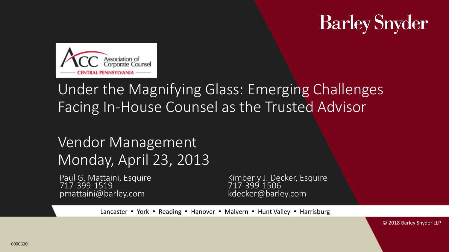# **Barley Snyder**



#### Under the Magnifying Glass: Emerging Challenges Facing In-House Counsel as the Trusted Advisor

#### Vendor Management Monday, April 23, 2013

717-399-1519<br>pmattaini@barley.com kdecker@barley.com pmattaini@barley.com

Paul G. Mattaini, Esquire Kimberly J. Decker, Esquire<br>717-399-1519 717-399-1506

Lancaster • York • Reading • Hanover • Malvern • Hunt Valley • Harrisburg

© 2018 Barley Snyder LLP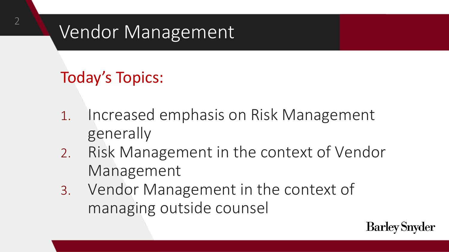## Vendor Management

Today's Topics:

2

- 1. Increased emphasis on Risk Management generally
- 2. Risk Management in the context of Vendor Management
- 3. Vendor Management in the context of managing outside counsel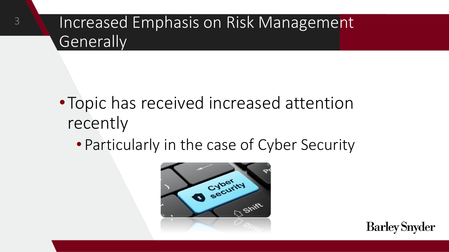3

- •Topic has received increased attention recently
	- Particularly in the case of Cyber Security

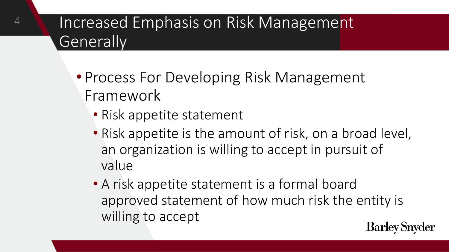- Process For Developing Risk Management Framework
	- Risk appetite statement

4

- Risk appetite is the amount of risk, on a broad level, an organization is willing to accept in pursuit of value
- A risk appetite statement is a formal board approved statement of how much risk the entity is willing to accept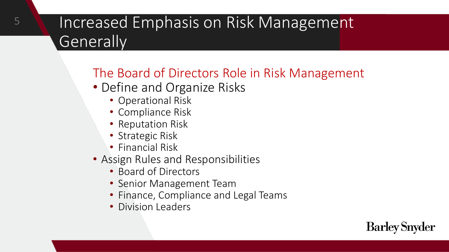#### The Board of Directors Role in Risk Management

- Define and Organize Risks
	- Operational Risk
	- Compliance Risk
	- Reputation Risk
	- Strategic Risk
	- Financial Risk
- Assign Rules and Responsibilities
	- Board of Directors
	- Senior Management Team
	- Finance, Compliance and Legal Teams
	- Division Leaders

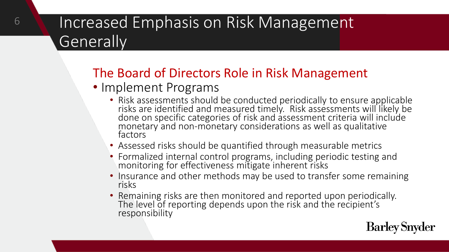#### The Board of Directors Role in Risk Management

- Implement Programs
	- Risk assessments should be conducted periodically to ensure applicable risks are identified and measured timely. Risk assessments will likely be done on specific categories of risk and assessment criteria will include monetary and non-monetary considerations as well as qualitative factors
	- Assessed risks should be quantified through measurable metrics
	- Formalized internal control programs, including periodic testing and monitoring for effectiveness mitigate inherent risks
	- Insurance and other methods may be used to transfer some remaining risks
	- Remaining risks are then monitored and reported upon periodically. The level of reporting depends upon the risk and the recipient's responsibility

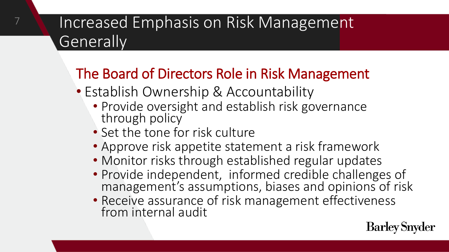#### The Board of Directors Role in Risk Management

- Establish Ownership & Accountability
	- Provide oversight and establish risk governance through policy
	- Set the tone for risk culture

7

- Approve risk appetite statement a risk framework
- Monitor risks through established regular updates
- Provide independent, informed credible challenges of management's assumptions, biases and opinions of risk
- Receive assurance of risk management effectiveness from internal audit

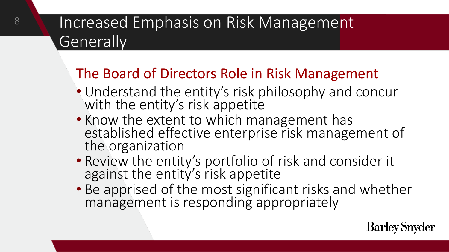#### The Board of Directors Role in Risk Management

- Understand the entity's risk philosophy and concur with the entity's risk appetite
- Know the extent to which management has established effective enterprise risk management of the organization
- Review the entity's portfolio of risk and consider it against the entity's risk appetite
- Be apprised of the most significant risks and whether management is responding appropriately

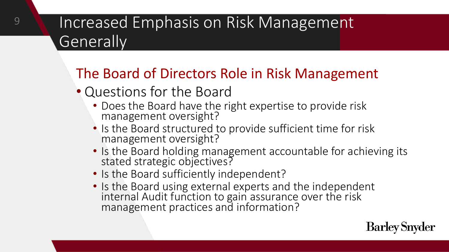#### The Board of Directors Role in Risk Management

- Questions for the Board
	- Does the Board have the right expertise to provide risk management oversight?
	- Is the Board structured to provide sufficient time for risk management oversight?
	- Is the Board holding management accountable for achieving its stated strategic objectives?
	- Is the Board sufficiently independent?
	- Is the Board using external experts and the independent internal Audit function to gain assurance over the risk management practices and information?

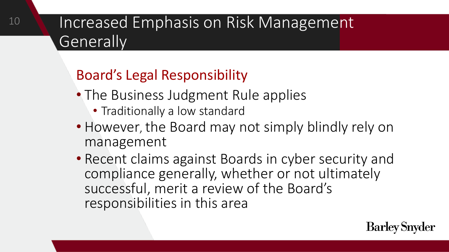#### Board's Legal Responsibility

10

- The Business Judgment Rule applies
	- Traditionally a low standard
- However, the Board may not simply blindly rely on management
- Recent claims against Boards in cyber security and compliance generally, whether or not ultimately successful, merit a review of the Board's responsibilities in this area

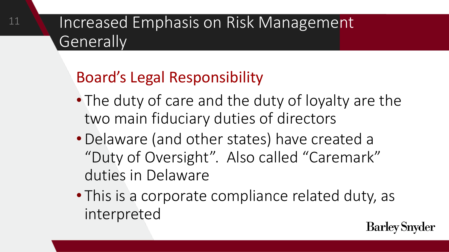### Board's Legal Responsibility

11

- The duty of care and the duty of loyalty are the two main fiduciary duties of directors
- •Delaware (and other states) have created a "Duty of Oversight". Also called "Caremark" duties in Delaware
- This is a corporate compliance related duty, as interpreted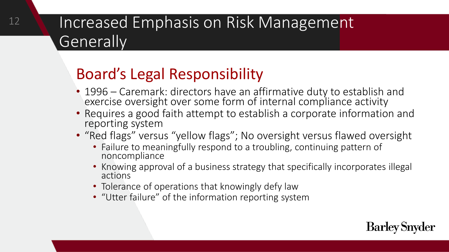## Increased Emphasis on Risk Management Generally<sup>'</sup>

#### Board's Legal Responsibility

- 1996 Caremark: directors have an affirmative duty to establish and exercise oversight over some form of internal compliance activity
- Requires a good faith attempt to establish a corporate information and reporting system
- "Red flags" versus "yellow flags"; No oversight versus flawed oversight
	- Failure to meaningfully respond to a troubling, continuing pattern of noncompliance
	- Knowing approval of a business strategy that specifically incorporates illegal actions
	- Tolerance of operations that knowingly defy law
	- "Utter failure" of the information reporting system

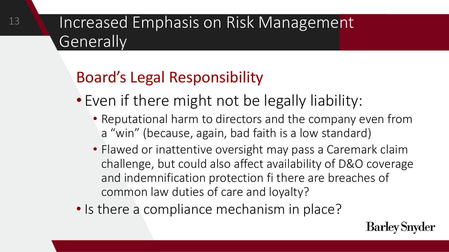### Board's Legal Responsibility

- Even if there might not be legally liability:
	- Reputational harm to directors and the company even from a "win" (because, again, bad faith is a low standard)
	- Flawed or inattentive oversight may pass a Caremark claim challenge, but could also affect availability of D&O coverage and indemnification protection fi there are breaches of common law duties of care and loyalty?
- Is there a compliance mechanism in place?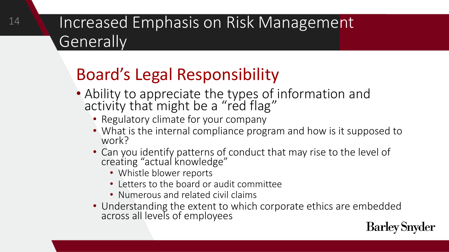## Board's Legal Responsibility

- Ability to appreciate the types of information and activity that might be a "red flag"
	- Regulatory climate for your company
	- What is the internal compliance program and how is it supposed to work?
	- Can you identify patterns of conduct that may rise to the level of creating "actual knowledge"
		- Whistle blower reports
		- Letters to the board or audit committee
		- Numerous and related civil claims
	- Understanding the extent to which corporate ethics are embedded across all levels of employees

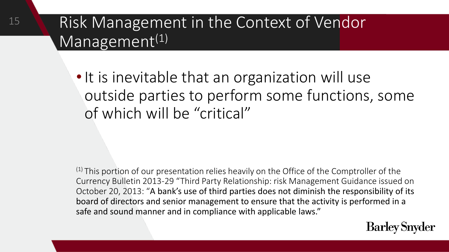#### Risk Management in the Context of Vendor Management<sup>(1)</sup>

15

• It is inevitable that an organization will use outside parties to perform some functions, some of which will be "critical"

 $(1)$  This portion of our presentation relies heavily on the Office of the Comptroller of the Currency Bulletin 2013-29 "Third Party Relationship: risk Management Guidance issued on October 20, 2013: "A bank's use of third parties does not diminish the responsibility of its board of directors and senior management to ensure that the activity is performed in a safe and sound manner and in compliance with applicable laws."

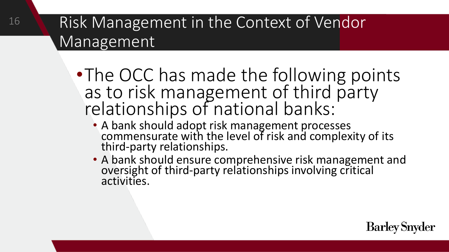16

- •The OCC has made the following points as to risk management of third party relationships of national banks:
	- A bank should adopt risk management processes commensurate with the level of risk and complexity of its third-party relationships.
	- A bank should ensure comprehensive risk management and oversight of third-party relationships involving critical activities.

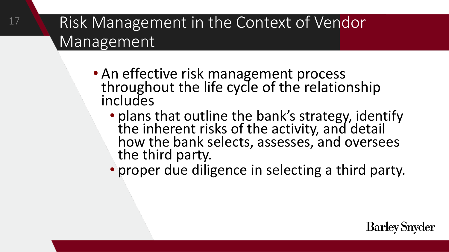17

- An effective risk management process throughout the life cycle of the relationship includes
	- plans that outline the bank's strategy, identify the inherent risks of the activity, and detail how the bank selects, assesses, and oversees the third party.
	- proper due diligence in selecting a third party.

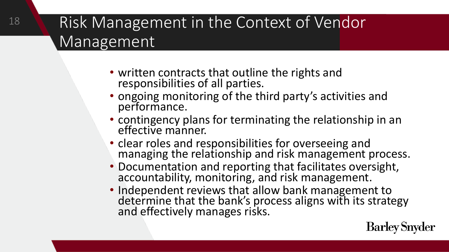- written contracts that outline the rights and responsibilities of all parties.
- ongoing monitoring of the third party's activities and performance.
- contingency plans for terminating the relationship in an effective manner.
- clear roles and responsibilities for overseeing and managing the relationship and risk management process.
- Documentation and reporting that facilitates oversight, accountability, monitoring, and risk management.
- Independent reviews that allow bank management to determine that the bank's process aligns with its strategy and effectively manages risks.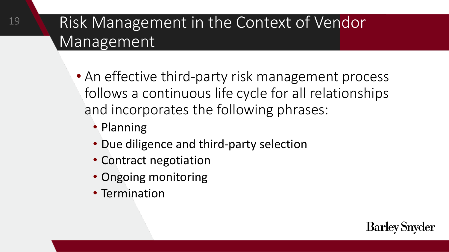- An effective third-party risk management process follows a continuous life cycle for all relationships and incorporates the following phrases:
	- Planning
	- Due diligence and third-party selection
	- Contract negotiation
	- Ongoing monitoring
	- Termination

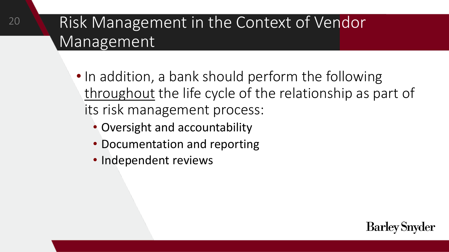- In addition, a bank should perform the following throughout the life cycle of the relationship as part of its risk management process:
	- Oversight and accountability
	- Documentation and reporting
	- Independent reviews

20

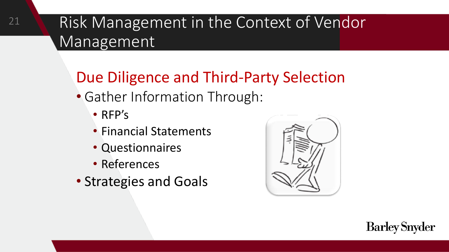### Due Diligence and Third-Party Selection

- Gather Information Through:
	- RFP's
	- Financial Statements
	- Questionnaires
	- References
- Strategies and Goals



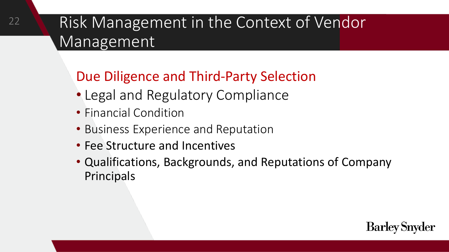#### Due Diligence and Third-Party Selection

- Legal and Regulatory Compliance
- Financial Condition
- Business Experience and Reputation
- Fee Structure and Incentives
- Qualifications, Backgrounds, and Reputations of Company Principals

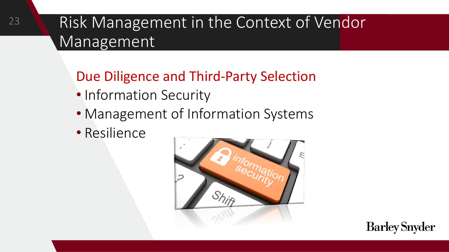Due Diligence and Third-Party Selection

- Information Security
- Management of Information Systems
- Resilience



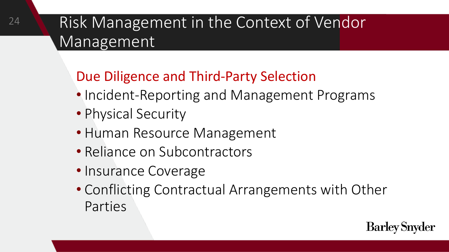#### Due Diligence and Third-Party Selection

- Incident-Reporting and Management Programs
- Physical Security

24

- Human Resource Management
- Reliance on Subcontractors
- Insurance Coverage
- Conflicting Contractual Arrangements with Other Parties

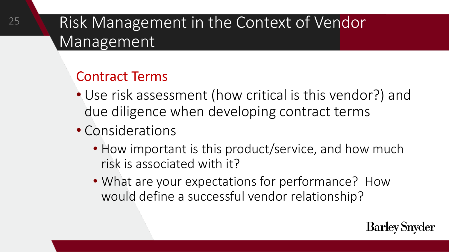- Use risk assessment (how critical is this vendor?) and due diligence when developing contract terms
- Considerations
	- How important is this product/service, and how much risk is associated with it?
	- What are your expectations for performance? How would define a successful vendor relationship?

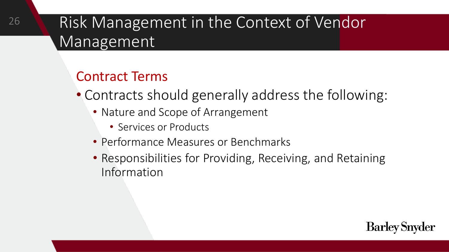- Contracts should generally address the following:
	- Nature and Scope of Arrangement
		- Services or Products
	- Performance Measures or Benchmarks
	- Responsibilities for Providing, Receiving, and Retaining Information

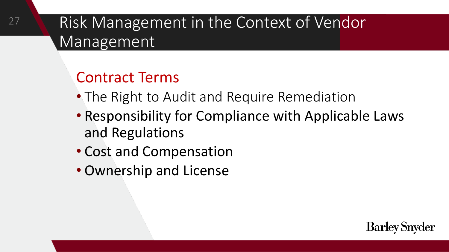#### Contract Terms

27

- The Right to Audit and Require Remediation
- Responsibility for Compliance with Applicable Laws and Regulations

- Cost and Compensation
- Ownership and License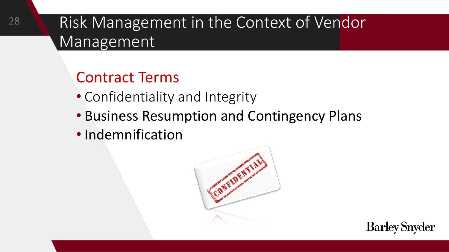- Confidentiality and Integrity
- Business Resumption and Contingency Plans
- Indemnification



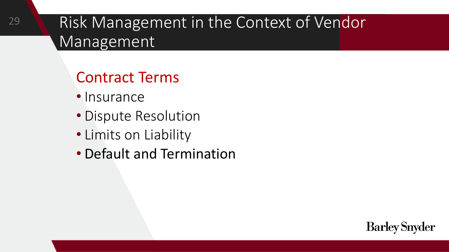- Insurance
- Dispute Resolution
- Limits on Liability
- Default and Termination

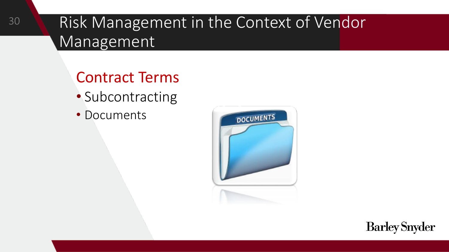- Subcontracting
- Documents



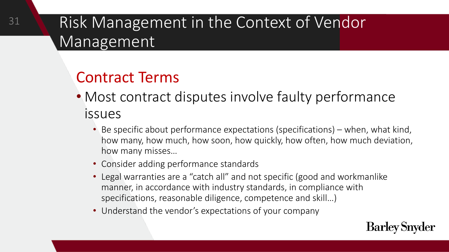- Most contract disputes involve faulty performance issues
	- Be specific about performance expectations (specifications) when, what kind, how many, how much, how soon, how quickly, how often, how much deviation, how many misses…
	- Consider adding performance standards
	- Legal warranties are a "catch all" and not specific (good and workmanlike manner, in accordance with industry standards, in compliance with specifications, reasonable diligence, competence and skill…)
	- Understand the vendor's expectations of your company

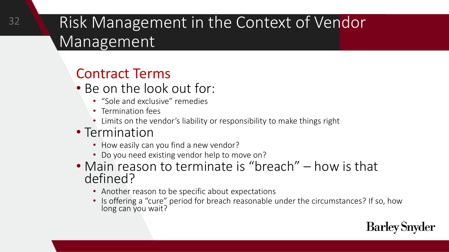- Be on the look out for:
	- "Sole and exclusive" remedies
	- Termination fees
	- Limits on the vendor's liability or responsibility to make things right
- Termination
	- How easily can you find a new vendor?
	- Do you need existing vendor help to move on?
- Main reason to terminate is "breach" how is that defined?
	- Another reason to be specific about expectations
	- Is offering a "cure" period for breach reasonable under the circumstances? If so, how long can you wait?

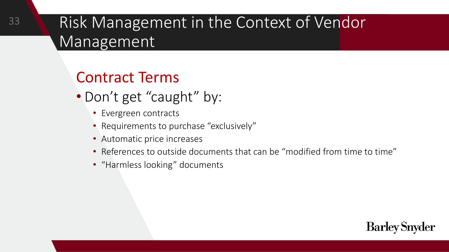- Don't get "caught" by:
	- Evergreen contracts
	- Requirements to purchase "exclusively"
	- Automatic price increases
	- References to outside documents that can be "modified from time to time"
	- "Harmless looking" documents

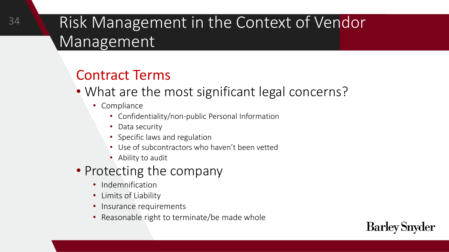- What are the most significant legal concerns?
	- Compliance
		- Confidentiality/non-public Personal Information
		- Data security
		- Specific laws and regulation
		- Use of subcontractors who haven't been vetted
		- Ability to audit
- Protecting the company
	- Indemnification
	- Limits of Liability
	- Insurance requirements
	- Reasonable right to terminate/be made whole

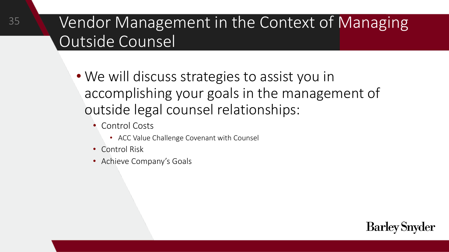- We will discuss strategies to assist you in accomplishing your goals in the management of outside legal counsel relationships:
	- Control Costs
		- ACC Value Challenge Covenant with Counsel
	- Control Risk

35

• Achieve Company's Goals

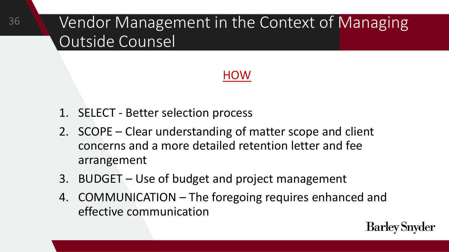#### **HOW**

- 1. SELECT Better selection process
- 2. SCOPE Clear understanding of matter scope and client concerns and a more detailed retention letter and fee arrangement
- 3. BUDGET Use of budget and project management
- 4. COMMUNICATION The foregoing requires enhanced and effective communication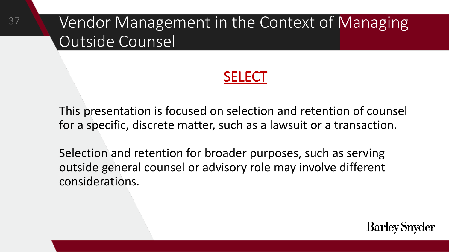37

#### SELECT

**Barley Snyder** 

This presentation is focused on selection and retention of counsel for a specific, discrete matter, such as a lawsuit or a transaction.

Selection and retention for broader purposes, such as serving outside general counsel or advisory role may involve different considerations.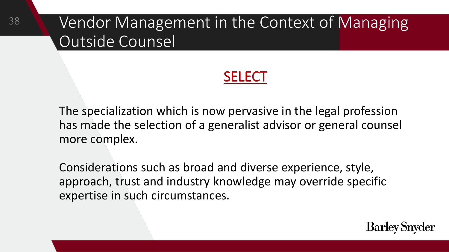38

#### SELECT

**Barley Snyder** 

The specialization which is now pervasive in the legal profession has made the selection of a generalist advisor or general counsel more complex.

Considerations such as broad and diverse experience, style, approach, trust and industry knowledge may override specific expertise in such circumstances.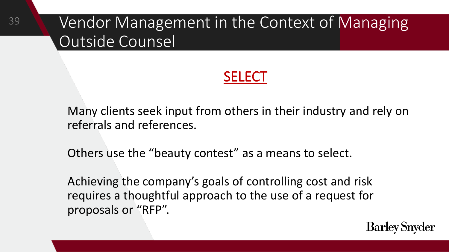#### **SELECT**

Many clients seek input from others in their industry and rely on referrals and references.

Others use the "beauty contest" as a means to select.

Achieving the company's goals of controlling cost and risk requires a thoughtful approach to the use of a request for proposals or "RFP".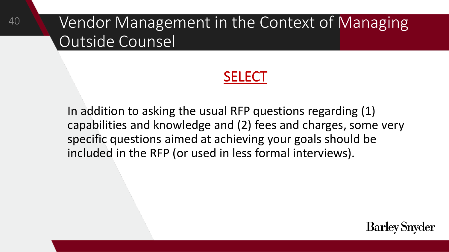#### **SELECT**

In addition to asking the usual RFP questions regarding (1) capabilities and knowledge and (2) fees and charges, some very specific questions aimed at achieving your goals should be included in the RFP (or used in less formal interviews).

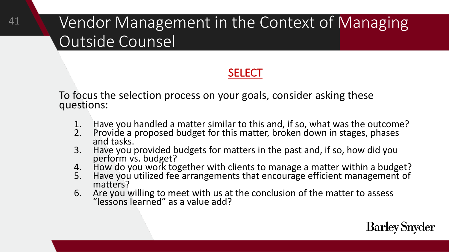#### SELECT

To focus the selection process on your goals, consider asking these questions:

41

- 1. Have you handled a matter similar to this and, if so, what was the outcome?<br>2. Provide a proposed budget for this matter, broken down in stages, phases
- Provide a proposed budget for this matter, broken down in stages, phases and tasks.
- 3. Have you provided budgets for matters in the past and, if so, how did you perform vs. budget?
- 4. How do you work together with clients to manage a matter within a budget?
- 5. Have you utilized fee arrangements that encourage efficient management of matters?
- 6. Are you willing to meet with us at the conclusion of the matter to assess "lessons learned" as a value add?

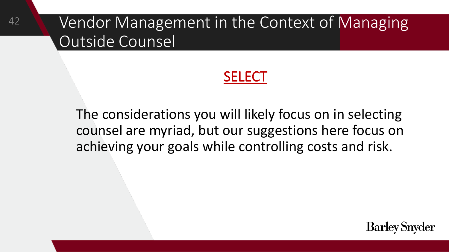42

#### **SELECT**

The considerations you will likely focus on in selecting counsel are myriad, but our suggestions here focus on achieving your goals while controlling costs and risk.

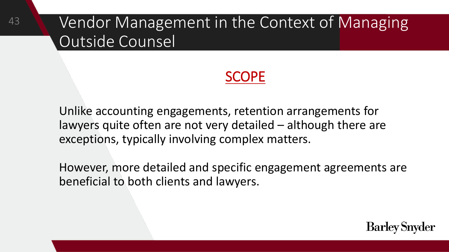43

#### SCOPE

Unlike accounting engagements, retention arrangements for lawyers quite often are not very detailed – although there are exceptions, typically involving complex matters.

However, more detailed and specific engagement agreements are beneficial to both clients and lawyers.

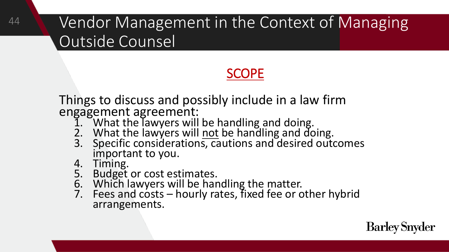#### SCOPE

Things to discuss and possibly include in a law firm engagement agreement:

- 1. What the lawyers will be handling and doing.
- 2. What the lawyers will not be handling and doing.
- 3. Specific considerations, cautions and desired outcomes important to you.
- 4. Timing.

44

- 5. Budget or cost estimates.
- 6. Which lawyers will be handling the matter.
- 7. Fees and costs hourly rates, fixed fee or other hybrid arrangements.

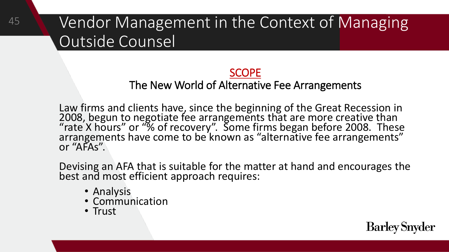#### SCOPE

#### The New World of Alternative Fee Arrangements

Law firms and clients have, since the beginning of the Great Recession in 2008, begun to negotiate fee arrangements that are more creative than "rate X hours" or "% of recovery". Some firms began before 2008. These arrangements have come to be known as "alternative fee arrangements" or "AFAs".

Devising an AFA that is suitable for the matter at hand and encourages the best and most efficient approach requires:

- Analysis
- Communication
- Trust

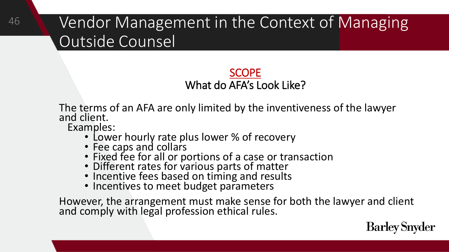#### **SCOPE** What do AFA's Look Like?

The terms of an AFA are only limited by the inventiveness of the lawyer and client.

Examples:

- Lower hourly rate plus lower % of recovery
- Fee caps and collars
- Fixed fee for all or portions of a case or transaction
- Different rates for various parts of matter
- Incentive fees based on timing and results
- Incentives to meet budget parameters

However, the arrangement must make sense for both the lawyer and client and comply with legal profession ethical rules.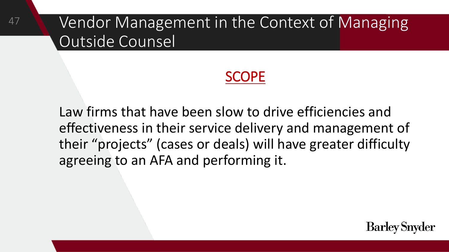47

#### **SCOPE**

Law firms that have been slow to drive efficiencies and effectiveness in their service delivery and management of their "projects" (cases or deals) will have greater difficulty agreeing to an AFA and performing it.

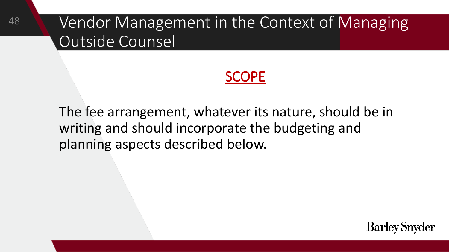#### SCOPE

The fee arrangement, whatever its nature, should be in writing and should incorporate the budgeting and planning aspects described below.

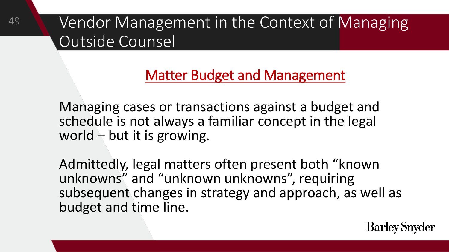#### Matter Budget and Management

Managing cases or transactions against a budget and schedule is not always a familiar concept in the legal world – but it is growing.

Admittedly, legal matters often present both "known unknowns" and "unknown unknowns", requiring subsequent changes in strategy and approach, as well as budget and time line.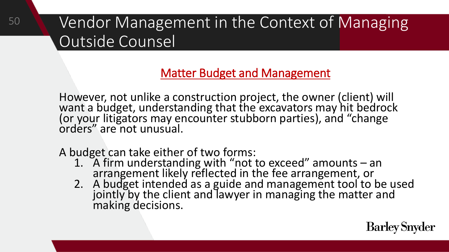#### Matter Budget and Management

However, not unlike a construction project, the owner (client) will want a budget, understanding that the excavators may hit bedrock (or your litigators may encounter stubborn parties), and "change orders" are not unusual.

A budget can take either of two forms:

50

- 1. A firm understanding with "not to exceed" amounts an arrangement likely reflected in the fee arrangement, or
- 2. A budget intended as a guide and management tool to be used jointly by the client and lawyer in managing the matter and making decisions.

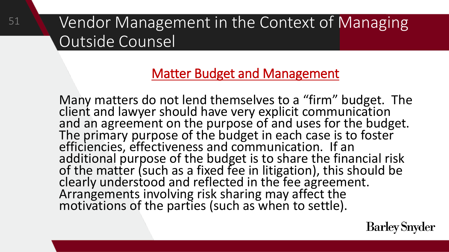51

#### Matter Budget and Management

Many matters do not lend themselves to a "firm" budget. The client and lawyer should have very explicit communication and an agreement on the purpose of and uses for the budget. The primary purpose of the budget in each case is to foster efficiencies, effectiveness and communication. If an additional purpose of the budget is to share the financial risk of the matter (such as a fixed fee in litigation), this should be clearly understood and reflected in the fee agreement. Arrangements involving risk sharing may affect the motivations of the parties (such as when to settle).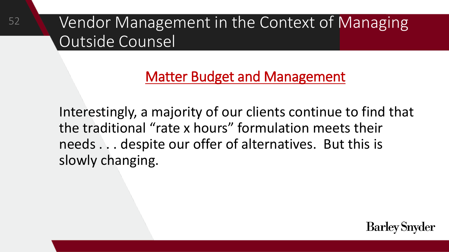52

#### Matter Budget and Management

Interestingly, a majority of our clients continue to find that the traditional "rate x hours" formulation meets their needs . . . despite our offer of alternatives. But this is slowly changing.

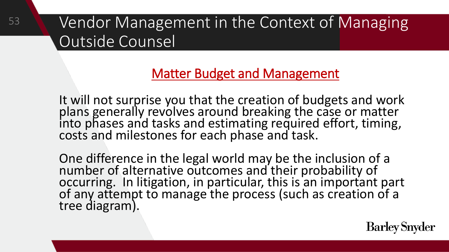53

#### Matter Budget and Management

It will not surprise you that the creation of budgets and work plans generally revolves around breaking the case or matter into phases and tasks and estimating required effort, timing, costs and milestones for each phase and task.

One difference in the legal world may be the inclusion of a number of alternative outcomes and their probability of occurring. In litigation, in particular, this is an important part of any attempt to manage the process (such as creation of a tree diagram).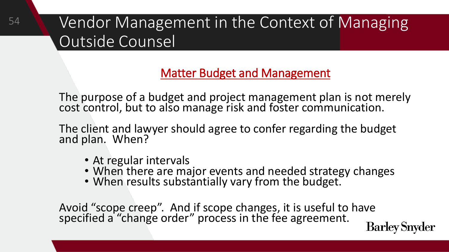#### Matter Budget and Management

The purpose of a budget and project management plan is not merely cost control, but to also manage risk and foster communication.

The client and lawyer should agree to confer regarding the budget and plan. When?

• At regular intervals

54

- When there are major events and needed strategy changes
- When results substantially vary from the budget.

Avoid "scope creep". And if scope changes, it is useful to have specified a "change order" process in the fee agreement.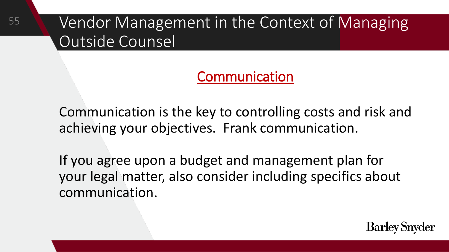55

Communication

Communication is the key to controlling costs and risk and achieving your objectives. Frank communication.

If you agree upon a budget and management plan for your legal matter, also consider including specifics about communication.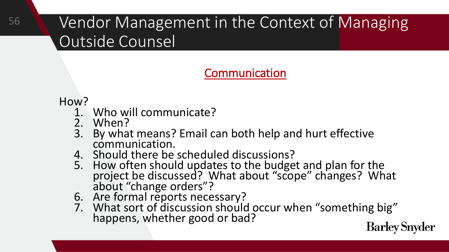#### Communication

#### How?

- 1. Who will communicate?
- 2. When?
- 3. By what means? Email can both help and hurt effective communication.
- 4. Should there be scheduled discussions?
- 5. How often should updates to the budget and plan for the project be discussed? What about "scope" changes? What about "change orders"?
- 6. Are formal reports necessary?
- 7. What sort of discussion should occur when "something big" happens, whether good or bad?